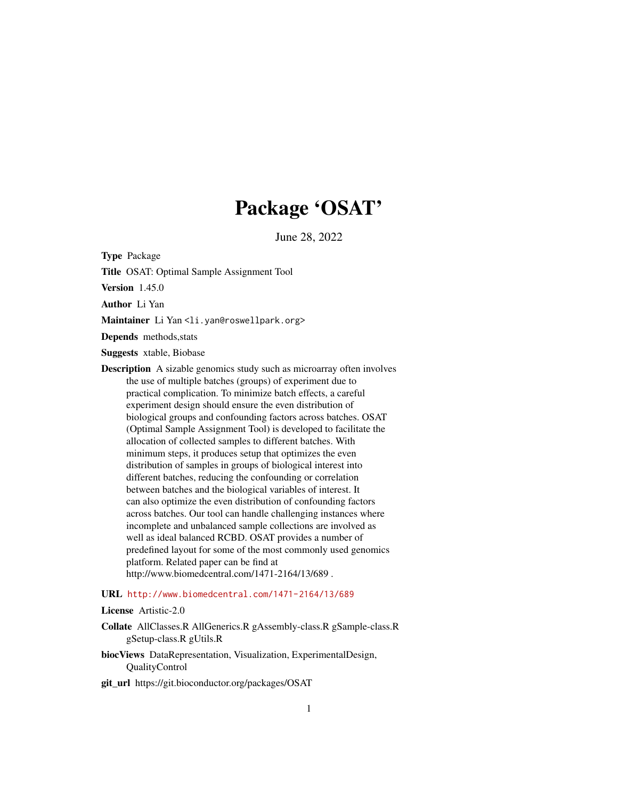# Package 'OSAT'

June 28, 2022

Type Package

Title OSAT: Optimal Sample Assignment Tool

Version 1.45.0

Author Li Yan

Maintainer Li Yan <li.yan@roswellpark.org>

Depends methods,stats

Suggests xtable, Biobase

Description A sizable genomics study such as microarray often involves the use of multiple batches (groups) of experiment due to practical complication. To minimize batch effects, a careful experiment design should ensure the even distribution of biological groups and confounding factors across batches. OSAT (Optimal Sample Assignment Tool) is developed to facilitate the allocation of collected samples to different batches. With minimum steps, it produces setup that optimizes the even distribution of samples in groups of biological interest into different batches, reducing the confounding or correlation between batches and the biological variables of interest. It can also optimize the even distribution of confounding factors across batches. Our tool can handle challenging instances where incomplete and unbalanced sample collections are involved as well as ideal balanced RCBD. OSAT provides a number of predefined layout for some of the most commonly used genomics platform. Related paper can be find at http://www.biomedcentral.com/1471-2164/13/689 .

# URL <http://www.biomedcentral.com/1471-2164/13/689>

License Artistic-2.0

- Collate AllClasses.R AllGenerics.R gAssembly-class.R gSample-class.R gSetup-class.R gUtils.R
- biocViews DataRepresentation, Visualization, ExperimentalDesign, QualityControl
- git\_url https://git.bioconductor.org/packages/OSAT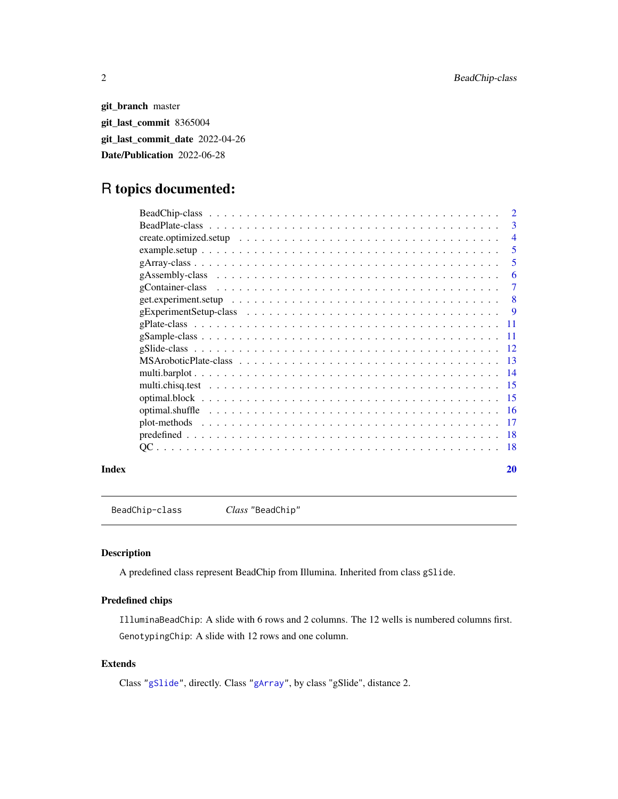git\_branch master git\_last\_commit 8365004 git\_last\_commit\_date 2022-04-26 Date/Publication 2022-06-28

# R topics documented:

|       | $\overline{2}$ |
|-------|----------------|
|       | 3              |
|       | $\overline{4}$ |
|       | 5              |
|       | 5              |
|       | 6              |
|       | 7              |
|       | -8             |
|       | - 9            |
|       |                |
|       |                |
|       |                |
|       |                |
|       |                |
|       |                |
|       |                |
|       |                |
|       |                |
|       |                |
|       |                |
| Index | 20             |

BeadChip-class *Class* "BeadChip"

# Description

A predefined class represent BeadChip from Illumina. Inherited from class gSlide.

# Predefined chips

IlluminaBeadChip: A slide with 6 rows and 2 columns. The 12 wells is numbered columns first. GenotypingChip: A slide with 12 rows and one column.

# Extends

Class ["gSlide"](#page-11-1), directly. Class ["gArray"](#page-4-1), by class "gSlide", distance 2.

<span id="page-1-0"></span>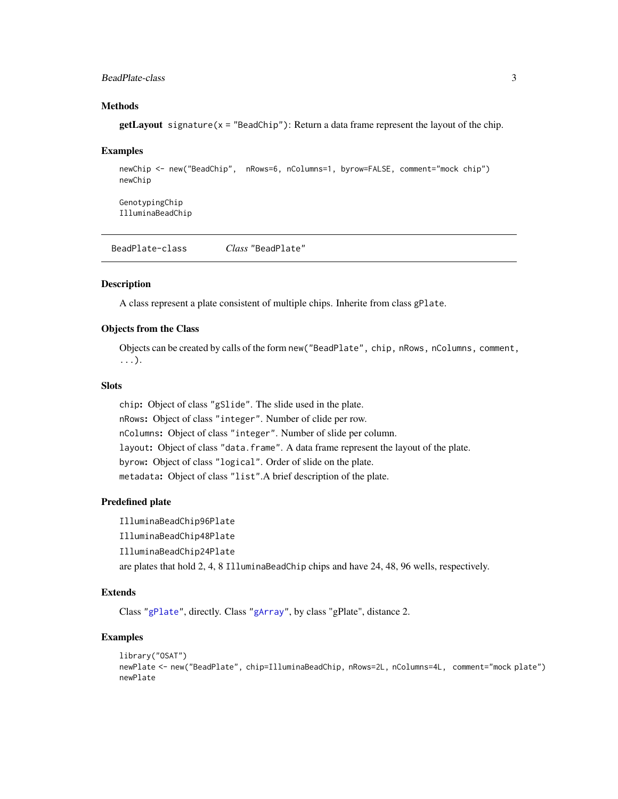# <span id="page-2-0"></span>BeadPlate-class 3

# **Methods**

 $getLayout$  signature( $x = "BeadChip")$ : Return a data frame represent the layout of the chip.

#### Examples

```
newChip <- new("BeadChip", nRows=6, nColumns=1, byrow=FALSE, comment="mock chip")
newChip
```
GenotypingChip IlluminaBeadChip

BeadPlate-class *Class* "BeadPlate"

#### **Description**

A class represent a plate consistent of multiple chips. Inherite from class gPlate.

# Objects from the Class

Objects can be created by calls of the form new("BeadPlate", chip, nRows, nColumns, comment, ...).

#### **Slots**

chip: Object of class "gSlide". The slide used in the plate. nRows: Object of class "integer". Number of clide per row. nColumns: Object of class "integer". Number of slide per column. layout: Object of class "data.frame". A data frame represent the layout of the plate. byrow: Object of class "logical". Order of slide on the plate. metadata: Object of class "list".A brief description of the plate.

#### Predefined plate

IlluminaBeadChip96Plate IlluminaBeadChip48Plate IlluminaBeadChip24Plate are plates that hold 2, 4, 8 IlluminaBeadChip chips and have 24, 48, 96 wells, respectively.

#### Extends

Class ["gPlate"](#page-10-1), directly. Class ["gArray"](#page-4-1), by class "gPlate", distance 2.

```
library("OSAT")
newPlate <- new("BeadPlate", chip=IlluminaBeadChip, nRows=2L, nColumns=4L, comment="mock plate")
newPlate
```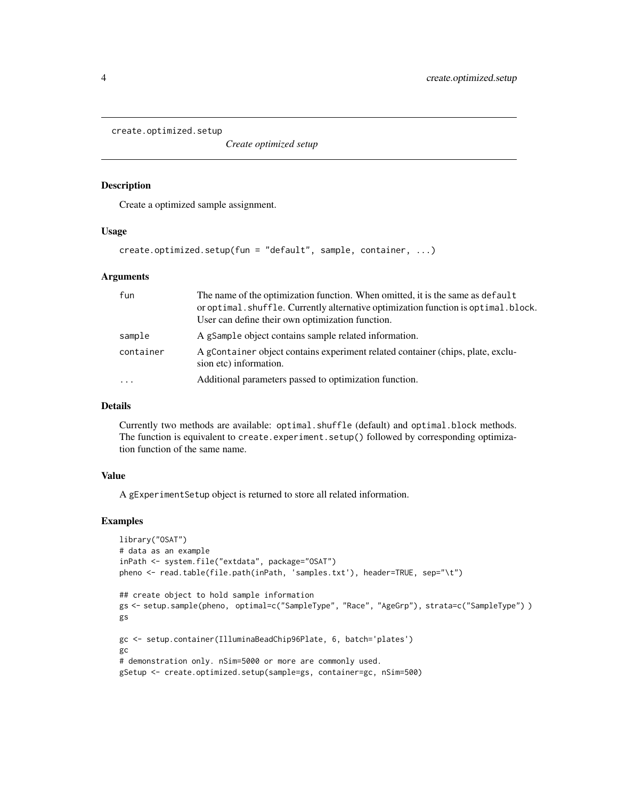<span id="page-3-0"></span>create.optimized.setup

*Create optimized setup*

#### Description

Create a optimized sample assignment.

#### Usage

create.optimized.setup(fun = "default", sample, container, ...)

# Arguments

| fun       | The name of the optimization function. When omitted, it is the same as default<br>or optimal. shuffle. Currently alternative optimization function is optimal. block.<br>User can define their own optimization function. |
|-----------|---------------------------------------------------------------------------------------------------------------------------------------------------------------------------------------------------------------------------|
| sample    | A gSample object contains sample related information.                                                                                                                                                                     |
| container | A gContainer object contains experiment related container (chips, plate, exclu-<br>sion etc) information.                                                                                                                 |
| $\cdot$   | Additional parameters passed to optimization function.                                                                                                                                                                    |

# Details

Currently two methods are available: optimal.shuffle (default) and optimal.block methods. The function is equivalent to create.experiment.setup() followed by corresponding optimization function of the same name.

# Value

A gExperimentSetup object is returned to store all related information.

```
library("OSAT")
# data as an example
inPath <- system.file("extdata", package="OSAT")
pheno <- read.table(file.path(inPath, 'samples.txt'), header=TRUE, sep="\t")
## create object to hold sample information
gs <- setup.sample(pheno, optimal=c("SampleType", "Race", "AgeGrp"), strata=c("SampleType") )
gs
gc <- setup.container(IlluminaBeadChip96Plate, 6, batch='plates')
gc
# demonstration only. nSim=5000 or more are commonly used.
gSetup <- create.optimized.setup(sample=gs, container=gc, nSim=500)
```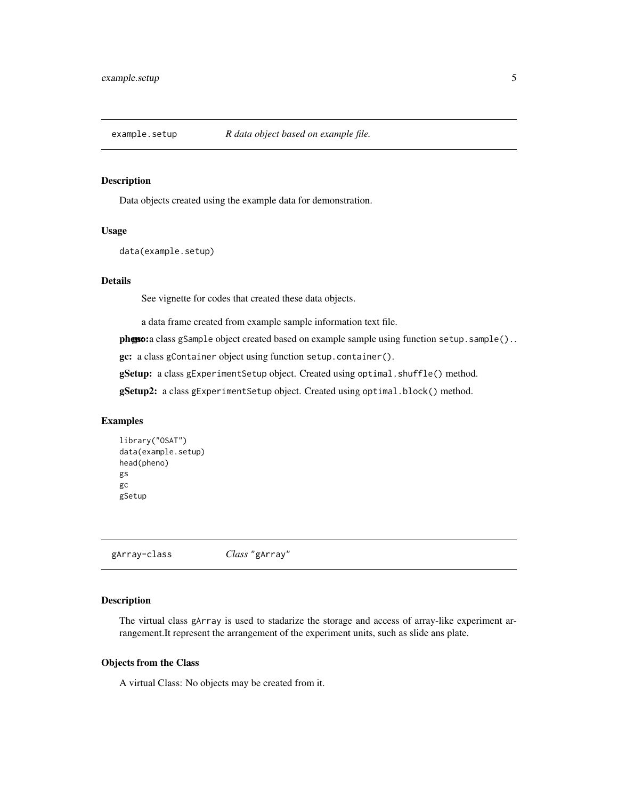<span id="page-4-0"></span>

#### Description

Data objects created using the example data for demonstration.

#### Usage

data(example.setup)

# Details

See vignette for codes that created these data objects.

a data frame created from example sample information text file.

**pheno:** a class gSample object created based on example sample using function setup. sample()..

gc: a class gContainer object using function setup.container().

gSetup: a class gExperimentSetup object. Created using optimal.shuffle() method.

gSetup2: a class gExperimentSetup object. Created using optimal.block() method.

# Examples

```
library("OSAT")
data(example.setup)
head(pheno)
gs
gc
gSetup
```
<span id="page-4-1"></span>gArray-class *Class* "gArray"

# Description

The virtual class gArray is used to stadarize the storage and access of array-like experiment arrangement.It represent the arrangement of the experiment units, such as slide ans plate.

#### Objects from the Class

A virtual Class: No objects may be created from it.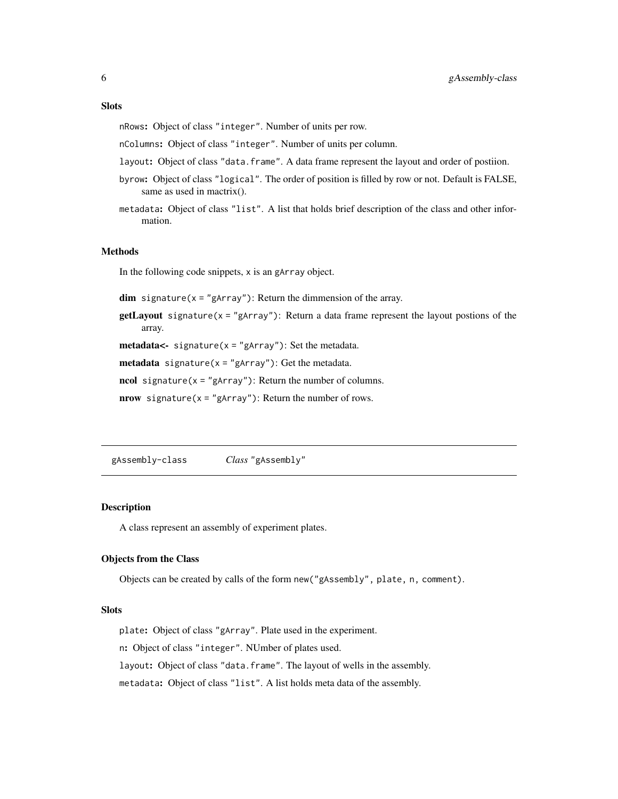#### <span id="page-5-0"></span>**Slots**

nRows: Object of class "integer". Number of units per row.

nColumns: Object of class "integer". Number of units per column.

- layout: Object of class "data.frame". A data frame represent the layout and order of postiion.
- byrow: Object of class "logical". The order of position is filled by row or not. Default is FALSE, same as used in mactrix().
- metadata: Object of class "list". A list that holds brief description of the class and other information.

#### Methods

In the following code snippets, x is an gArray object.

 $dim$  signature( $x = "gArray")$ : Return the dimmension of the array.

**getLayout** signature( $x = "gArray"$ ): Return a data frame represent the layout postions of the array.

**metadata<-** signature( $x =$ "gArray"): Set the metadata.

**metadata** signature( $x = "gArray")$ : Get the metadata.

ncol signature( $x =$ "gArray"): Return the number of columns.

nrow signature( $x =$ "gArray"): Return the number of rows.

gAssembly-class *Class* "gAssembly"

#### Description

A class represent an assembly of experiment plates.

#### Objects from the Class

Objects can be created by calls of the form new("gAssembly", plate, n, comment).

#### **Slots**

plate: Object of class "gArray". Plate used in the experiment.

n: Object of class "integer". NUmber of plates used.

layout: Object of class "data.frame". The layout of wells in the assembly.

metadata: Object of class "list". A list holds meta data of the assembly.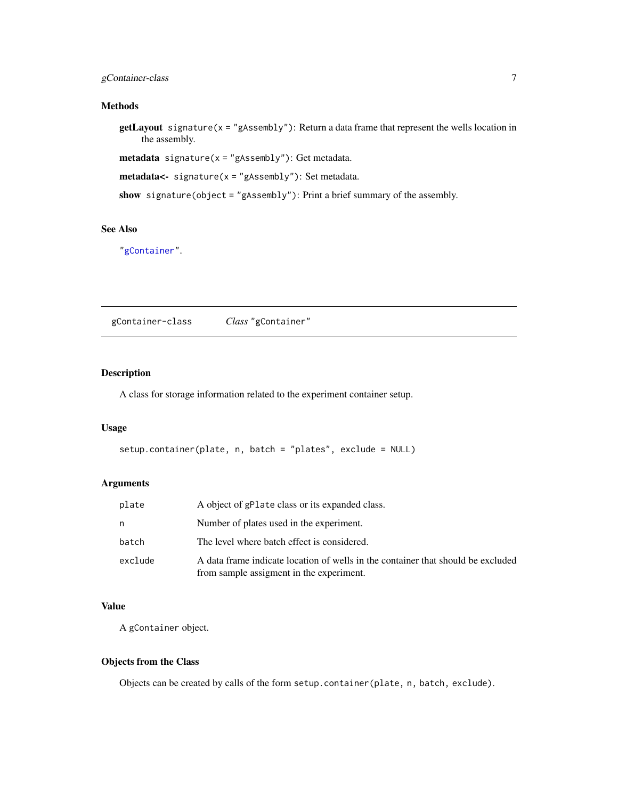# <span id="page-6-0"></span>gContainer-class 7

### Methods

getLayout signature(x = "gAssembly"): Return a data frame that represent the wells location in the assembly.

metadata signature(x = "gAssembly"): Get metadata.

```
metadata<- signature(x = "gAssembly"): Set metadata.
```
show signature(object = "gAssembly"): Print a brief summary of the assembly.

# See Also

["gContainer"](#page-6-1).

<span id="page-6-1"></span>gContainer-class *Class* "gContainer"

# Description

A class for storage information related to the experiment container setup.

# Usage

```
setup.container(plate, n, batch = "plates", exclude = NULL)
```
# Arguments

| plate   | A object of gPlate class or its expanded class.                                                                              |
|---------|------------------------------------------------------------------------------------------------------------------------------|
| n       | Number of plates used in the experiment.                                                                                     |
| batch   | The level where batch effect is considered.                                                                                  |
| exclude | A data frame indicate location of wells in the container that should be excluded<br>from sample assigment in the experiment. |

# Value

A gContainer object.

# Objects from the Class

Objects can be created by calls of the form setup.container(plate, n, batch, exclude).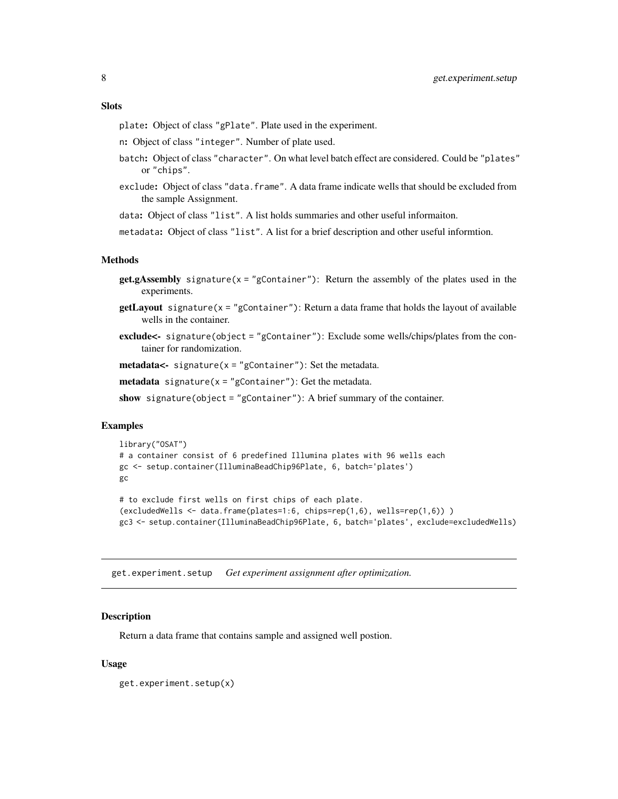#### <span id="page-7-0"></span>**Slots**

plate: Object of class "gPlate". Plate used in the experiment.

n: Object of class "integer". Number of plate used.

- batch: Object of class "character". On what level batch effect are considered. Could be "plates" or "chips".
- exclude: Object of class "data.frame". A data frame indicate wells that should be excluded from the sample Assignment.

data: Object of class "list". A list holds summaries and other useful informaiton.

metadata: Object of class "list". A list for a brief description and other useful informtion.

#### Methods

- **get.gAssembly** signature( $x =$ "gContainer"): Return the assembly of the plates used in the experiments.
- $getLayout$  signature( $x = "gContainer")$ : Return a data frame that holds the layout of available wells in the container.
- exclude<- signature(object = "gContainer"): Exclude some wells/chips/plates from the container for randomization.

 $meta data$ <- signature(x = "gContainer"): Set the metadata.

**metadata** signature( $x = "gContainer")$ : Get the metadata.

show signature(object = "gContainer"): A brief summary of the container.

#### Examples

```
library("OSAT")
# a container consist of 6 predefined Illumina plates with 96 wells each
gc <- setup.container(IlluminaBeadChip96Plate, 6, batch='plates')
gc
```
# to exclude first wells on first chips of each plate. (excludedWells <- data.frame(plates=1:6, chips=rep(1,6), wells=rep(1,6)) ) gc3 <- setup.container(IlluminaBeadChip96Plate, 6, batch='plates', exclude=excludedWells)

get.experiment.setup *Get experiment assignment after optimization.*

#### Description

Return a data frame that contains sample and assigned well postion.

#### Usage

get.experiment.setup(x)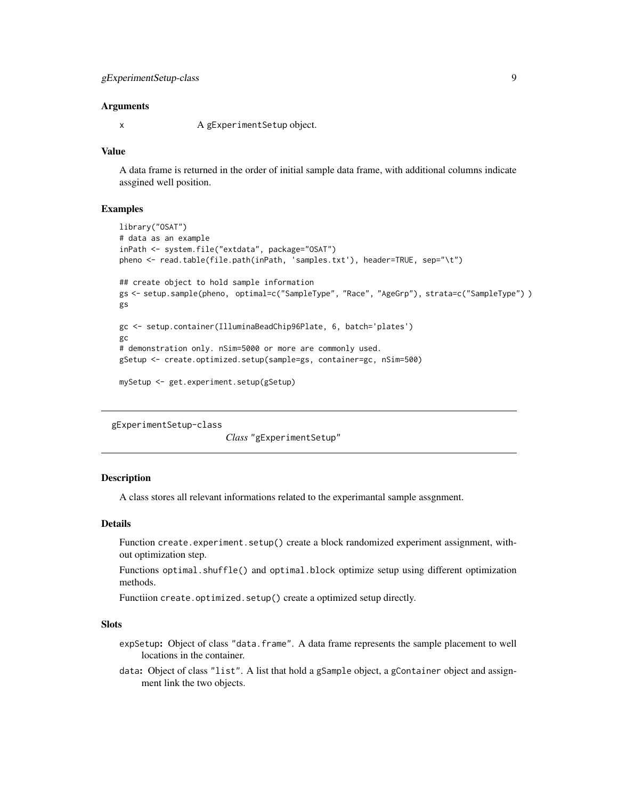#### <span id="page-8-0"></span>Arguments

x A gExperiment Setup object.

#### Value

A data frame is returned in the order of initial sample data frame, with additional columns indicate assgined well position.

#### Examples

```
library("OSAT")
# data as an example
inPath <- system.file("extdata", package="OSAT")
pheno <- read.table(file.path(inPath, 'samples.txt'), header=TRUE, sep="\t")
## create object to hold sample information
gs <- setup.sample(pheno, optimal=c("SampleType", "Race", "AgeGrp"), strata=c("SampleType") )
gs
gc <- setup.container(IlluminaBeadChip96Plate, 6, batch='plates')
gc
# demonstration only. nSim=5000 or more are commonly used.
gSetup <- create.optimized.setup(sample=gs, container=gc, nSim=500)
```

```
mySetup <- get.experiment.setup(gSetup)
```
<span id="page-8-1"></span>gExperimentSetup-class

*Class* "gExperimentSetup"

# Description

A class stores all relevant informations related to the experimantal sample assgnment.

# Details

Function create.experiment.setup() create a block randomized experiment assignment, without optimization step.

Functions optimal.shuffle() and optimal.block optimize setup using different optimization methods.

Functiion create.optimized.setup() create a optimized setup directly.

# **Slots**

- expSetup: Object of class "data.frame". A data frame represents the sample placement to well locations in the container.
- data: Object of class "list". A list that hold a gSample object, a gContainer object and assignment link the two objects.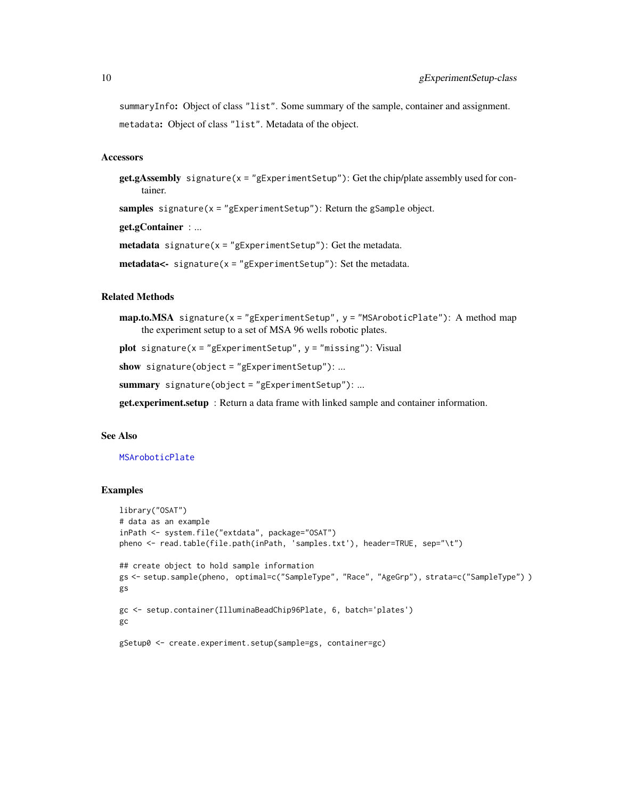<span id="page-9-0"></span>summaryInfo: Object of class "list". Some summary of the sample, container and assignment. metadata: Object of class "list". Metadata of the object.

#### Accessors

**get.gAssembly** signature( $x =$ "gExperimentSetup"): Get the chip/plate assembly used for container.

samples signature( $x = "gExperimentSetup"$ ): Return the gSample object.

get.gContainer : ...

**metadata** signature( $x =$ "gExperimentSetup"): Get the metadata.

metadata<- signature(x = "gExperimentSetup"): Set the metadata.

# Related Methods

 $map.to.MSA$  signature(x = "gExperimentSetup", y = "MSAroboticPlate"): A method map the experiment setup to a set of MSA 96 wells robotic plates.

plot signature( $x = "gExperimentSetup", y = "missing").$  Visual

show signature(object = "gExperimentSetup"): ...

summary signature(object = "gExperimentSetup"): ...

get.experiment.setup : Return a data frame with linked sample and container information.

#### See Also

[MSAroboticPlate](#page-12-1)

```
library("OSAT")
# data as an example
inPath <- system.file("extdata", package="OSAT")
pheno <- read.table(file.path(inPath, 'samples.txt'), header=TRUE, sep="\t")
## create object to hold sample information
gs <- setup.sample(pheno, optimal=c("SampleType", "Race", "AgeGrp"), strata=c("SampleType") )
gs
gc <- setup.container(IlluminaBeadChip96Plate, 6, batch='plates')
gc
gSetup0 <- create.experiment.setup(sample=gs, container=gc)
```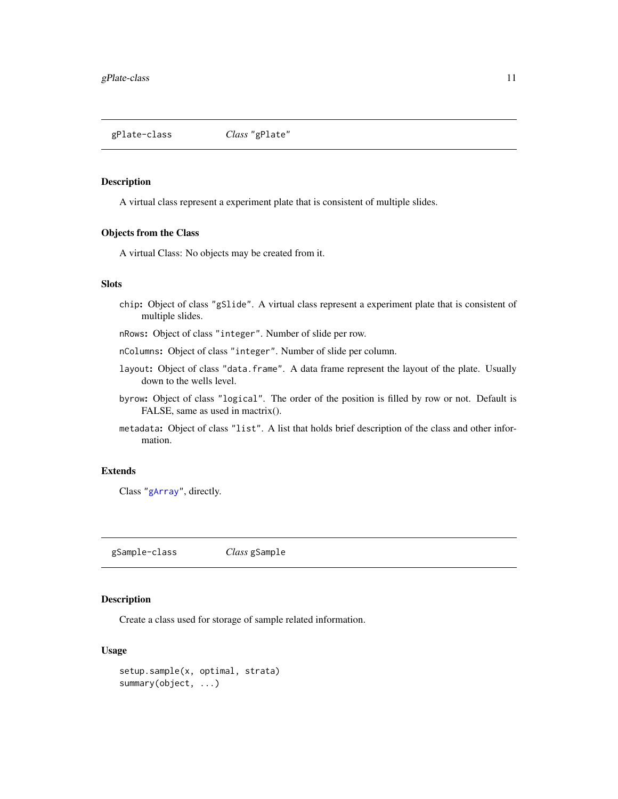<span id="page-10-1"></span><span id="page-10-0"></span>gPlate-class *Class* "gPlate"

# Description

A virtual class represent a experiment plate that is consistent of multiple slides.

# Objects from the Class

A virtual Class: No objects may be created from it.

# Slots

chip: Object of class "gSlide". A virtual class represent a experiment plate that is consistent of multiple slides.

nRows: Object of class "integer". Number of slide per row.

nColumns: Object of class "integer". Number of slide per column.

- layout: Object of class "data.frame". A data frame represent the layout of the plate. Usually down to the wells level.
- byrow: Object of class "logical". The order of the position is filled by row or not. Default is FALSE, same as used in mactrix().
- metadata: Object of class "list". A list that holds brief description of the class and other information.

#### Extends

Class ["gArray"](#page-4-1), directly.

gSample-class *Class* gSample

# Description

Create a class used for storage of sample related information.

# Usage

```
setup.sample(x, optimal, strata)
summary(object, ...)
```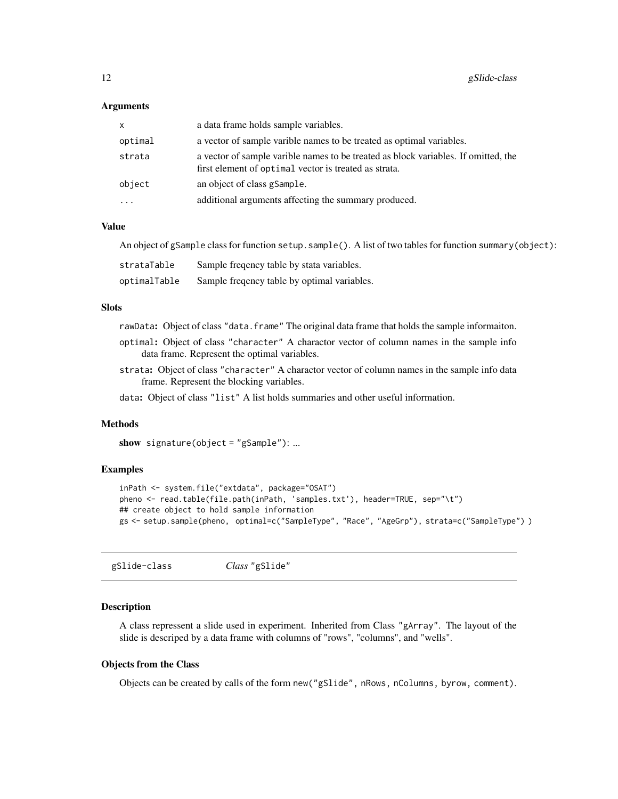#### <span id="page-11-0"></span>**Arguments**

| <b>X</b> | a data frame holds sample variables.                                                                                                        |
|----------|---------------------------------------------------------------------------------------------------------------------------------------------|
| optimal  | a vector of sample varible names to be treated as optimal variables.                                                                        |
| strata   | a vector of sample varible names to be treated as block variables. If omitted, the<br>first element of optimal vector is treated as strata. |
| object   | an object of class gSample.                                                                                                                 |
| $\ddots$ | additional arguments affecting the summary produced.                                                                                        |

#### Value

An object of gSample class for function setup.sample(). A list of two tables for function summary(object):

| strataTable  | Sample frequency table by stata variables.   |
|--------------|----------------------------------------------|
| optimalTable | Sample frequency table by optimal variables. |

# Slots

rawData: Object of class "data.frame" The original data frame that holds the sample informaiton.

- optimal: Object of class "character" A charactor vector of column names in the sample info data frame. Represent the optimal variables.
- strata: Object of class "character" A charactor vector of column names in the sample info data frame. Represent the blocking variables.

data: Object of class "list" A list holds summaries and other useful information.

#### **Methods**

show signature(object =  $"gSample"$ ): ...

# Examples

```
inPath <- system.file("extdata", package="OSAT")
pheno <- read.table(file.path(inPath, 'samples.txt'), header=TRUE, sep="\t")
## create object to hold sample information
gs <- setup.sample(pheno, optimal=c("SampleType", "Race", "AgeGrp"), strata=c("SampleType") )
```
<span id="page-11-1"></span>gSlide-class *Class* "gSlide"

#### **Description**

A class repressent a slide used in experiment. Inherited from Class "gArray". The layout of the slide is descriped by a data frame with columns of "rows", "columns", and "wells".

#### Objects from the Class

Objects can be created by calls of the form new("gSlide", nRows, nColumns, byrow, comment).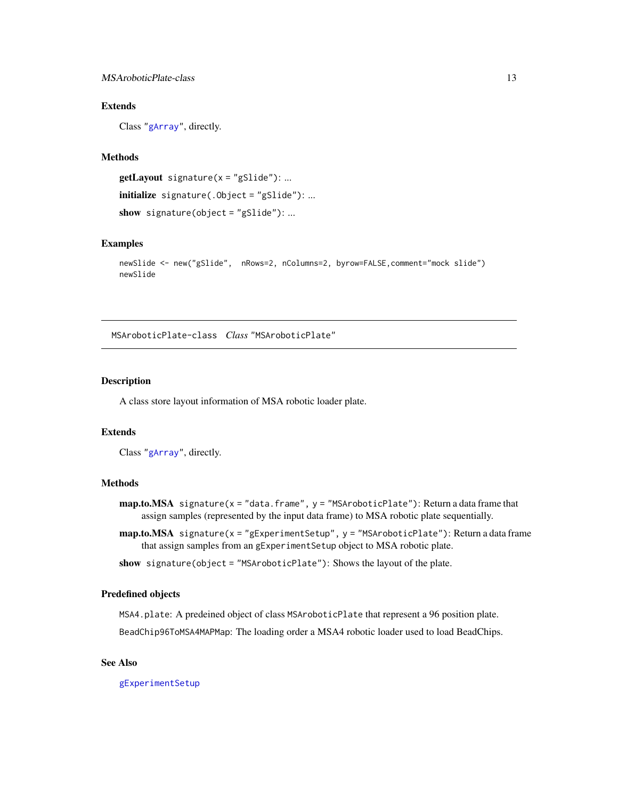# <span id="page-12-0"></span>MSAroboticPlate-class 13

# Extends

Class ["gArray"](#page-4-1), directly.

#### Methods

 $getLayout$  signature(x = "gSlide"): ... initialize signature(.Object = "gSlide"): ... show signature(object =  $"gSlide")$ : ...

# Examples

```
newSlide <- new("gSlide", nRows=2, nColumns=2, byrow=FALSE,comment="mock slide")
newSlide
```
<span id="page-12-1"></span>MSAroboticPlate-class *Class* "MSAroboticPlate"

# Description

A class store layout information of MSA robotic loader plate.

# Extends

Class ["gArray"](#page-4-1), directly.

#### Methods

- $map.to.MSA$  signature(x = "data.frame", y = "MSAroboticPlate"): Return a data frame that assign samples (represented by the input data frame) to MSA robotic plate sequentially.
- map.to.MSA signature(x = "gExperimentSetup", y = "MSAroboticPlate"): Return a data frame that assign samples from an gExperimentSetup object to MSA robotic plate.
- show signature(object = "MSAroboticPlate"): Shows the layout of the plate.

#### Predefined objects

MSA4.plate: A predeined object of class MSAroboticPlate that represent a 96 position plate.

BeadChip96ToMSA4MAPMap: The loading order a MSA4 robotic loader used to load BeadChips.

# See Also

[gExperimentSetup](#page-8-1)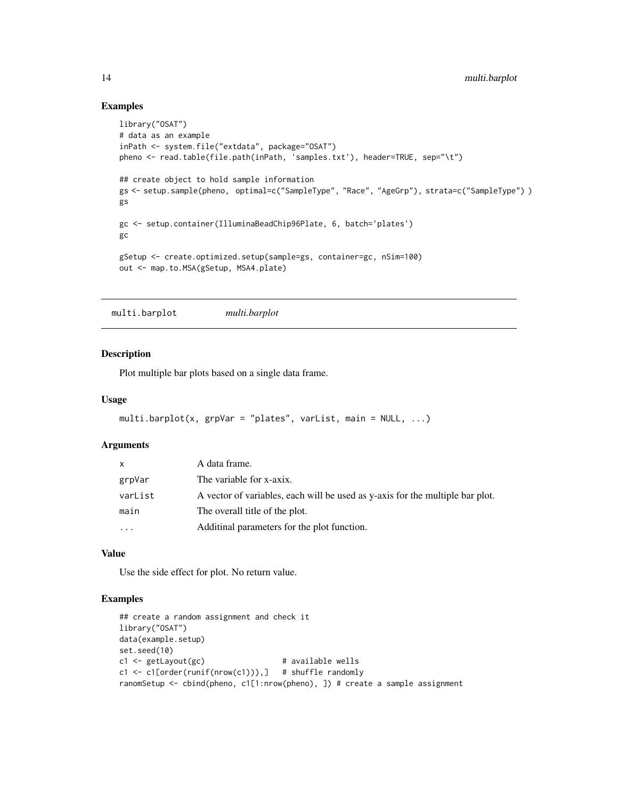# Examples

```
library("OSAT")
# data as an example
inPath <- system.file("extdata", package="OSAT")
pheno <- read.table(file.path(inPath, 'samples.txt'), header=TRUE, sep="\t")
## create object to hold sample information
gs <- setup.sample(pheno, optimal=c("SampleType", "Race", "AgeGrp"), strata=c("SampleType") )
gs
gc <- setup.container(IlluminaBeadChip96Plate, 6, batch='plates')
gc
gSetup <- create.optimized.setup(sample=gs, container=gc, nSim=100)
out <- map.to.MSA(gSetup, MSA4.plate)
```
multi.barplot *multi.barplot*

#### Description

Plot multiple bar plots based on a single data frame.

# Usage

```
multi.barplot(x, grpVar = "plates", varList, main = NULL, ...)
```
#### Arguments

| $\mathsf{x}$ | A data frame.                                                                 |
|--------------|-------------------------------------------------------------------------------|
| grpVar       | The variable for x-axix.                                                      |
| varList      | A vector of variables, each will be used as y-axis for the multiple bar plot. |
| main         | The overall title of the plot.                                                |
| .            | Additinal parameters for the plot function.                                   |

#### Value

Use the side effect for plot. No return value.

```
## create a random assignment and check it
library("OSAT")
data(example.setup)
set.seed(10)
c1 <- getLayout(gc) # available wells
c1 \leq c1[order(runif(nrow(c1))),] # shuffle randomly
ranomSetup <- cbind(pheno, c1[1:nrow(pheno), ]) # create a sample assignment
```
<span id="page-13-0"></span>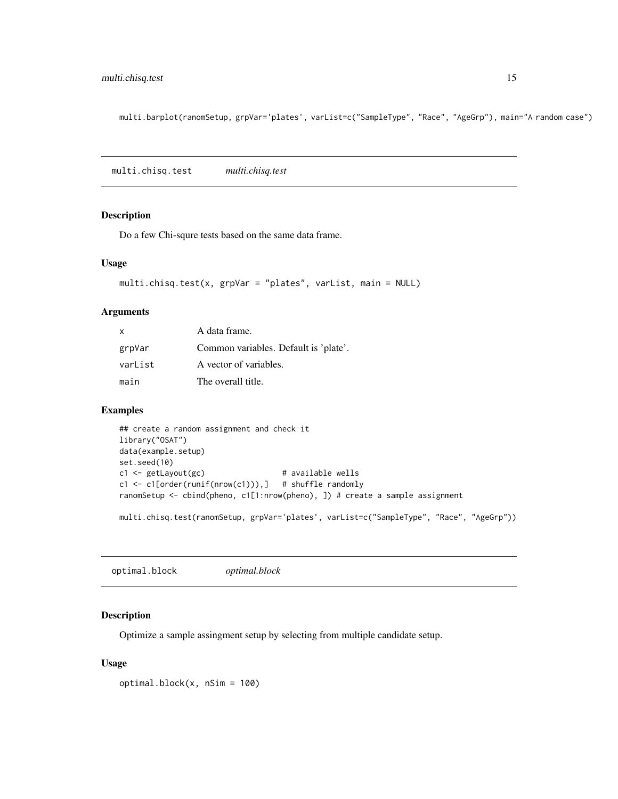<span id="page-14-0"></span>multi.barplot(ranomSetup, grpVar='plates', varList=c("SampleType", "Race", "AgeGrp"), main="A random case")

multi.chisq.test *multi.chisq.test*

# Description

Do a few Chi-squre tests based on the same data frame.

#### Usage

```
multi.chisq.test(x, grpVar = "plates", varList, main = NULL)
```
# Arguments

| x       | A data frame.                         |
|---------|---------------------------------------|
| grpVar  | Common variables. Default is 'plate'. |
| varList | A vector of variables.                |
| main    | The overall title.                    |

# Examples

```
## create a random assignment and check it
library("OSAT")
data(example.setup)
set.seed(10)
c1 \leftarrow getLayout(gc) # available wells
c1 <- c1[order(runif(nrow(c1))),] # shuffle randomly
ranomSetup <- cbind(pheno, c1[1:nrow(pheno), ]) # create a sample assignment
```
multi.chisq.test(ranomSetup, grpVar='plates', varList=c("SampleType", "Race", "AgeGrp"))

<span id="page-14-1"></span>optimal.block *optimal.block*

# Description

Optimize a sample assingment setup by selecting from multiple candidate setup.

# Usage

optimal.block(x, nSim = 100)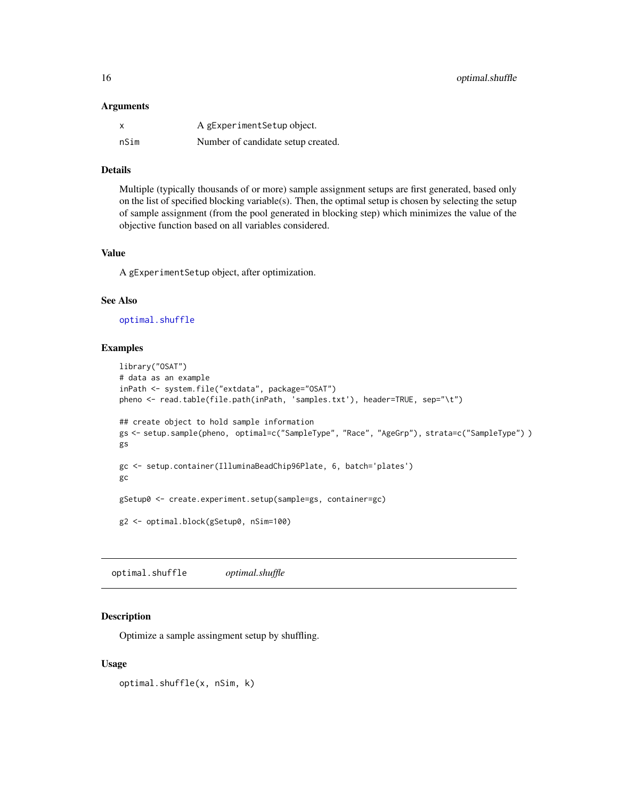#### <span id="page-15-0"></span>**Arguments**

|      | A gExperiment Setup object.        |
|------|------------------------------------|
| nSim | Number of candidate setup created. |

### Details

Multiple (typically thousands of or more) sample assignment setups are first generated, based only on the list of specified blocking variable(s). Then, the optimal setup is chosen by selecting the setup of sample assignment (from the pool generated in blocking step) which minimizes the value of the objective function based on all variables considered.

#### Value

A gExperimentSetup object, after optimization.

#### See Also

[optimal.shuffle](#page-15-1)

#### Examples

```
library("OSAT")
# data as an example
inPath <- system.file("extdata", package="OSAT")
pheno <- read.table(file.path(inPath, 'samples.txt'), header=TRUE, sep="\t")
## create object to hold sample information
gs <- setup.sample(pheno, optimal=c("SampleType", "Race", "AgeGrp"), strata=c("SampleType") )
gs
gc <- setup.container(IlluminaBeadChip96Plate, 6, batch='plates')
gc
gSetup0 <- create.experiment.setup(sample=gs, container=gc)
g2 <- optimal.block(gSetup0, nSim=100)
```
<span id="page-15-1"></span>optimal.shuffle *optimal.shuffle*

#### Description

Optimize a sample assingment setup by shuffling.

# Usage

optimal.shuffle(x, nSim, k)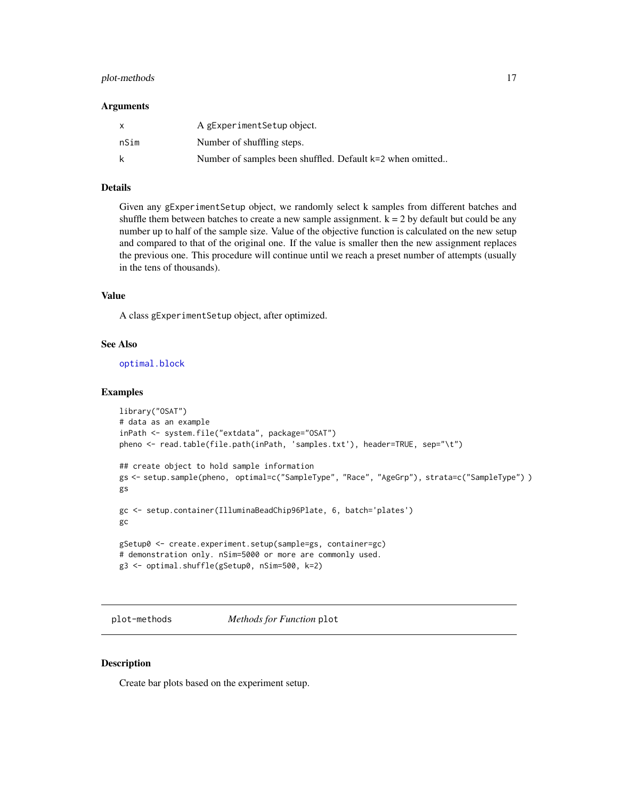# <span id="page-16-0"></span>plot-methods 17

#### Arguments

| $\mathsf{x}$ | A gExperiment Setup object.                               |
|--------------|-----------------------------------------------------------|
| nSim         | Number of shuffling steps.                                |
| k            | Number of samples been shuffled. Default k=2 when omitted |

# Details

Given any gExperimentSetup object, we randomly select k samples from different batches and shuffle them between batches to create a new sample assignment.  $k = 2$  by default but could be any number up to half of the sample size. Value of the objective function is calculated on the new setup and compared to that of the original one. If the value is smaller then the new assignment replaces the previous one. This procedure will continue until we reach a preset number of attempts (usually in the tens of thousands).

# Value

A class gExperimentSetup object, after optimized.

# See Also

[optimal.block](#page-14-1)

#### Examples

```
library("OSAT")
# data as an example
inPath <- system.file("extdata", package="OSAT")
pheno <- read.table(file.path(inPath, 'samples.txt'), header=TRUE, sep="\t")
## create object to hold sample information
gs <- setup.sample(pheno, optimal=c("SampleType", "Race", "AgeGrp"), strata=c("SampleType") )
gs
gc <- setup.container(IlluminaBeadChip96Plate, 6, batch='plates')
gc
gSetup0 <- create.experiment.setup(sample=gs, container=gc)
# demonstration only. nSim=5000 or more are commonly used.
g3 <- optimal.shuffle(gSetup0, nSim=500, k=2)
```
plot-methods *Methods for Function* plot

#### Description

Create bar plots based on the experiment setup.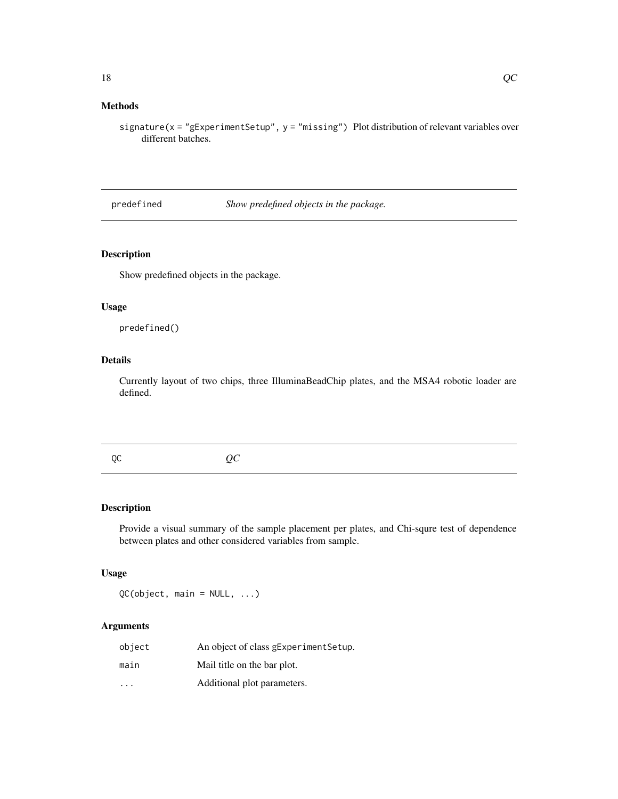# <span id="page-17-0"></span>Methods

signature(x = "gExperimentSetup", y = "missing") Plot distribution of relevant variables over different batches.

predefined *Show predefined objects in the package.*

# Description

Show predefined objects in the package.

# Usage

predefined()

# Details

Currently layout of two chips, three IlluminaBeadChip plates, and the MSA4 robotic loader are defined.

QC *QC*

# Description

Provide a visual summary of the sample placement per plates, and Chi-squre test of dependence between plates and other considered variables from sample.

# Usage

QC(object, main = NULL, ...)

# Arguments

| object                  | An object of class gExperimentSetup. |
|-------------------------|--------------------------------------|
| main                    | Mail title on the bar plot.          |
| $\cdot$ $\cdot$ $\cdot$ | Additional plot parameters.          |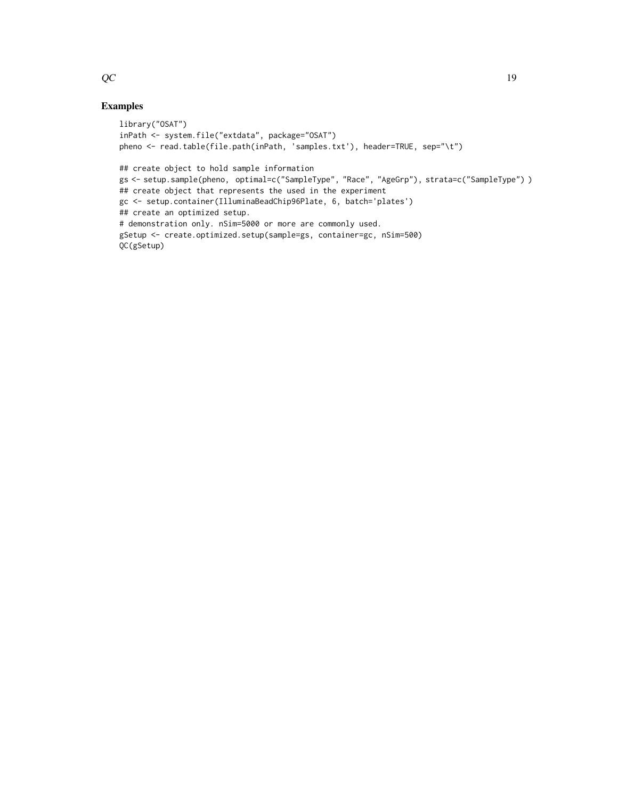```
library("OSAT")
inPath <- system.file("extdata", package="OSAT")
pheno <- read.table(file.path(inPath, 'samples.txt'), header=TRUE, sep="\t")
## create object to hold sample information
gs <- setup.sample(pheno, optimal=c("SampleType", "Race", "AgeGrp"), strata=c("SampleType") )
## create object that represents the used in the experiment
gc <- setup.container(IlluminaBeadChip96Plate, 6, batch='plates')
## create an optimized setup.
# demonstration only. nSim=5000 or more are commonly used.
gSetup <- create.optimized.setup(sample=gs, container=gc, nSim=500)
QC(gSetup)
```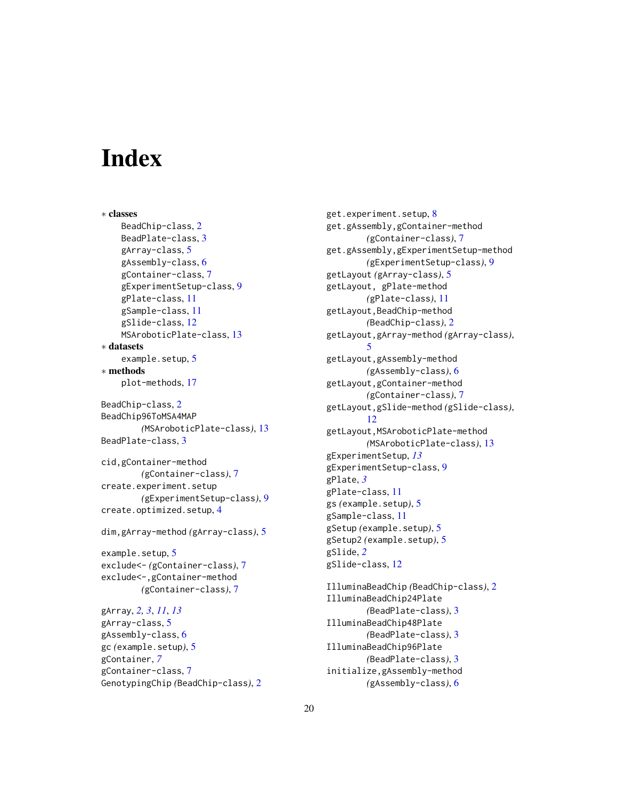# <span id="page-19-0"></span>**Index**

∗ classes BeadChip-class, [2](#page-1-0) BeadPlate-class, [3](#page-2-0) gArray-class, [5](#page-4-0) gAssembly-class, [6](#page-5-0) gContainer-class, [7](#page-6-0) gExperimentSetup-class, [9](#page-8-0) gPlate-class, [11](#page-10-0) gSample-class, [11](#page-10-0) gSlide-class, [12](#page-11-0) MSAroboticPlate-class, [13](#page-12-0) ∗ datasets example.setup, [5](#page-4-0) ∗ methods plot-methods, [17](#page-16-0)

```
BeadChip-class, 2
BeadChip96ToMSA4MAP
        (MSAroboticPlate-class), 13
BeadPlate-class, 3
```
cid,gContainer-method *(*gContainer-class*)*, [7](#page-6-0) create.experiment.setup *(*gExperimentSetup-class*)*, [9](#page-8-0) create.optimized.setup, [4](#page-3-0)

dim,gArray-method *(*gArray-class*)*, [5](#page-4-0)

example.setup, [5](#page-4-0) exclude<- *(*gContainer-class*)*, [7](#page-6-0) exclude<-,gContainer-method *(*gContainer-class*)*, [7](#page-6-0)

```
gArray, 2, 3, 11, 13
gArray-class, 5
gAssembly-class, 6
gc (example.setup), 5
gContainer, 7
gContainer-class, 7
GenotypingChip (BeadChip-class), 2
```
get.experiment.setup, [8](#page-7-0) get.gAssembly,gContainer-method *(*gContainer-class*)*, [7](#page-6-0) get.gAssembly,gExperimentSetup-method *(*gExperimentSetup-class*)*, [9](#page-8-0) getLayout *(*gArray-class*)*, [5](#page-4-0) getLayout, gPlate-method *(*gPlate-class*)*, [11](#page-10-0) getLayout,BeadChip-method *(*BeadChip-class*)*, [2](#page-1-0) getLayout,gArray-method *(*gArray-class*)*, [5](#page-4-0) getLayout,gAssembly-method *(*gAssembly-class*)*, [6](#page-5-0) getLayout,gContainer-method *(*gContainer-class*)*, [7](#page-6-0) getLayout,gSlide-method *(*gSlide-class*)*, [12](#page-11-0) getLayout,MSAroboticPlate-method *(*MSAroboticPlate-class*)*, [13](#page-12-0) gExperimentSetup, *[13](#page-12-0)* gExperimentSetup-class, [9](#page-8-0) gPlate, *[3](#page-2-0)* gPlate-class, [11](#page-10-0) gs *(*example.setup*)*, [5](#page-4-0) gSample-class, [11](#page-10-0) gSetup *(*example.setup*)*, [5](#page-4-0) gSetup2 *(*example.setup*)*, [5](#page-4-0) gSlide, *[2](#page-1-0)* gSlide-class, [12](#page-11-0)

```
IlluminaBeadChip (BeadChip-class), 2
IlluminaBeadChip24Plate
        (BeadPlate-class), 3
IlluminaBeadChip48Plate
        (BeadPlate-class), 3
IlluminaBeadChip96Plate
        (BeadPlate-class), 3
initialize,gAssembly-method
        (gAssembly-class), 6
```